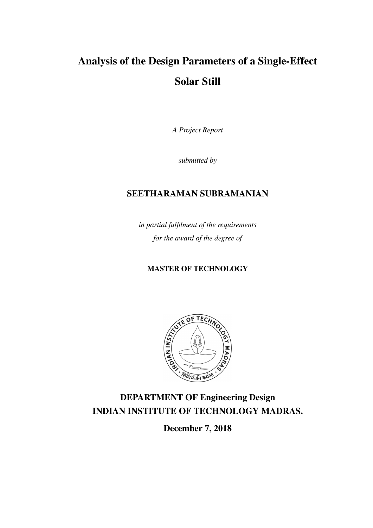# Analysis of the Design Parameters of a Single-Effect Solar Still

*A Project Report*

*submitted by*

### SEETHARAMAN SUBRAMANIAN

*in partial fulfilment of the requirements for the award of the degree of*

#### MASTER OF TECHNOLOGY



# DEPARTMENT OF Engineering Design INDIAN INSTITUTE OF TECHNOLOGY MADRAS.

December 7, 2018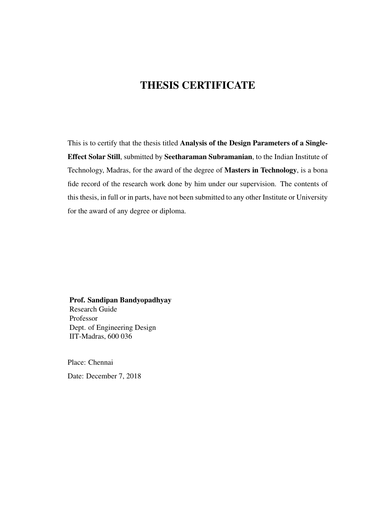## THESIS CERTIFICATE

This is to certify that the thesis titled Analysis of the Design Parameters of a Single-Effect Solar Still, submitted by Seetharaman Subramanian, to the Indian Institute of Technology, Madras, for the award of the degree of Masters in Technology, is a bona fide record of the research work done by him under our supervision. The contents of this thesis, in full or in parts, have not been submitted to any other Institute or University for the award of any degree or diploma.

#### Prof. Sandipan Bandyopadhyay

Research Guide Professor Dept. of Engineering Design IIT-Madras, 600 036

Place: Chennai Date: December 7, 2018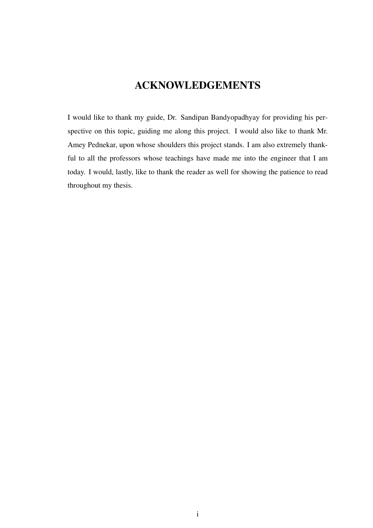# ACKNOWLEDGEMENTS

<span id="page-2-0"></span>I would like to thank my guide, Dr. Sandipan Bandyopadhyay for providing his perspective on this topic, guiding me along this project. I would also like to thank Mr. Amey Pednekar, upon whose shoulders this project stands. I am also extremely thankful to all the professors whose teachings have made me into the engineer that I am today. I would, lastly, like to thank the reader as well for showing the patience to read throughout my thesis.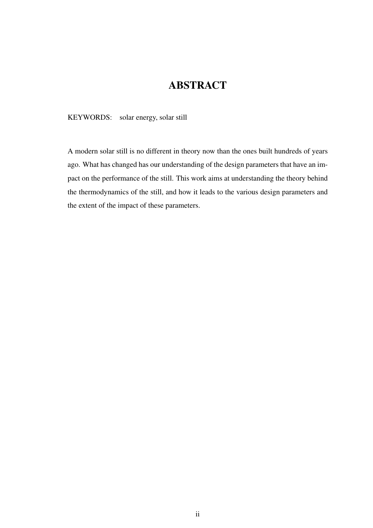## ABSTRACT

<span id="page-3-0"></span>KEYWORDS: solar energy, solar still

A modern solar still is no different in theory now than the ones built hundreds of years ago. What has changed has our understanding of the design parameters that have an impact on the performance of the still. This work aims at understanding the theory behind the thermodynamics of the still, and how it leads to the various design parameters and the extent of the impact of these parameters.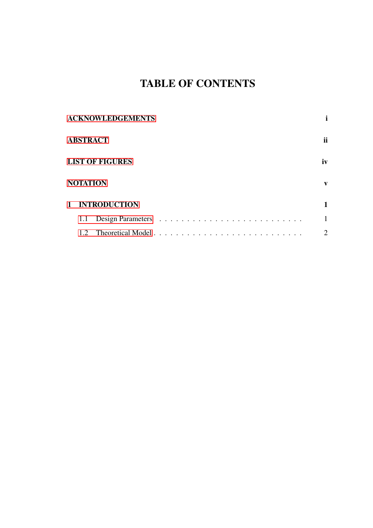# TABLE OF CONTENTS

| <b>ACKNOWLEDGEMENTS</b> |                        |                |              |  |  |
|-------------------------|------------------------|----------------|--------------|--|--|
|                         | <b>ABSTRACT</b>        |                | ii           |  |  |
|                         | <b>LIST OF FIGURES</b> |                |              |  |  |
|                         | <b>NOTATION</b>        |                | V            |  |  |
|                         |                        | 1 INTRODUCTION | 1            |  |  |
|                         | 1.1                    |                | $\mathbf{1}$ |  |  |
|                         |                        |                | 2            |  |  |
|                         |                        |                |              |  |  |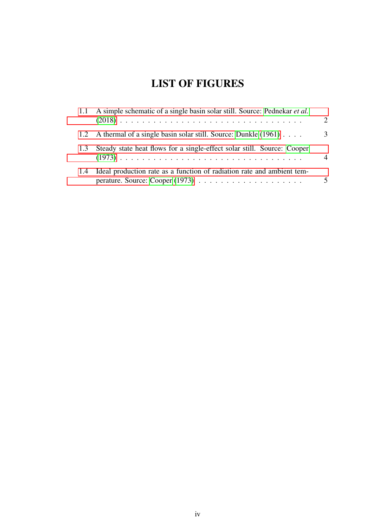# LIST OF FIGURES

<span id="page-5-0"></span>

|     | 1.1 A simple schematic of a single basin solar still. Source: Pednekar <i>et al.</i> | $\mathcal{P}$ |
|-----|--------------------------------------------------------------------------------------|---------------|
|     | 1.2 A thermal of a single basin solar still. Source: Dunkle (1961)                   | 3             |
| 1.3 | Steady state heat flows for a single-effect solar still. Source: Cooper              | $\Delta$      |
| 1.4 | Ideal production rate as a function of radiation rate and ambient tem-               | 5             |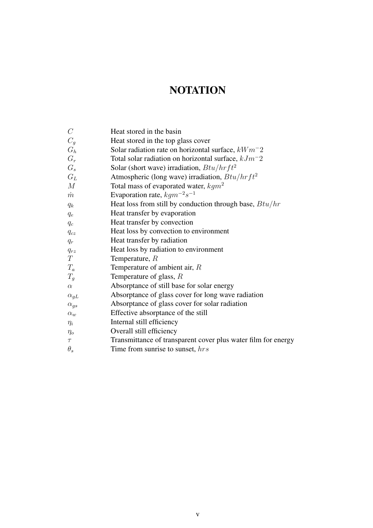# **NOTATION**

<span id="page-6-0"></span>

| $C \$            | Heat stored in the basin                                      |
|------------------|---------------------------------------------------------------|
| $C_g$            | Heat stored in the top glass cover                            |
| $G_h$            | Solar radiation rate on horizontal surface, $kWm-2$           |
| $G_r$            | Total solar radiation on horizontal surface, $kJm^-2$         |
| $G_s$            | Solar (short wave) irradiation, $Btu/hrft^2$                  |
| $G_L$            | Atmospheric (long wave) irradiation, $Btu/hrft^2$             |
| $\boldsymbol{M}$ | Total mass of evaporated water, $kgm^2$                       |
| $\dot m$         | Evaporation rate, $kgm^{-2}s^{-1}$                            |
| $q_k$            | Heat loss from still by conduction through base, $Btu/hr$     |
| $q_e$            | Heat transfer by evaporation                                  |
| $q_c$            | Heat transfer by convection                                   |
| $q_{cz}$         | Heat loss by convection to environment                        |
| $q_r$            | Heat transfer by radiation                                    |
| $q_{rz}$         | Heat loss by radiation to environment                         |
| $\, T \,$        | Temperature, $R$                                              |
| $T_a$            | Temperature of ambient air, $R$                               |
| $T_g$            | Temperature of glass, $R$                                     |
| $\alpha$         | Absorptance of still base for solar energy                    |
| $\alpha_{gL}$    | Absorptance of glass cover for long wave radiation            |
| $\alpha_{gs}$    | Absorptance of glass cover for solar radiation                |
| $\alpha_w$       | Effective absorptance of the still                            |
| $\eta_i$         | Internal still efficiency                                     |
| $\eta_o$         | Overall still efficiency                                      |
| $\tau$           | Transmittance of transparent cover plus water film for energy |
| $\theta_s$       | Time from sunrise to sunset, hrs                              |
|                  |                                                               |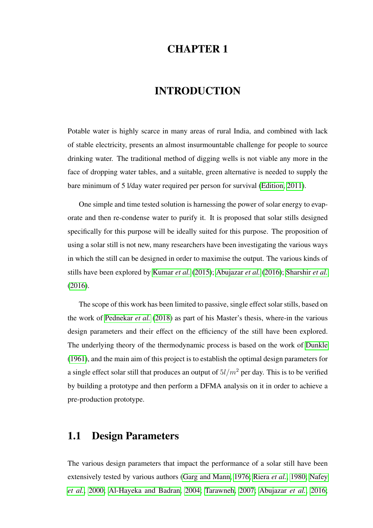## CHAPTER 1

#### INTRODUCTION

<span id="page-7-0"></span>Potable water is highly scarce in many areas of rural India, and combined with lack of stable electricity, presents an almost insurmountable challenge for people to source drinking water. The traditional method of digging wells is not viable any more in the face of dropping water tables, and a suitable, green alternative is needed to supply the bare minimum of 5 l/day water required per person for survival [\(Edition, 2011\)](#page-12-3).

One simple and time tested solution is harnessing the power of solar energy to evaporate and then re-condense water to purify it. It is proposed that solar stills designed specifically for this purpose will be ideally suited for this purpose. The proposition of using a solar still is not new, many researchers have been investigating the various ways in which the still can be designed in order to maximise the output. The various kinds of stills have been explored by [Kumar](#page-12-4) *et al.* [\(2015\)](#page-12-4); [Abujazar](#page-12-5) *et al.* [\(2016\)](#page-12-5); [Sharshir](#page-12-6) *et al.* [\(2016\)](#page-12-6).

The scope of this work has been limited to passive, single effect solar stills, based on the work of [Pednekar](#page-12-0) *et al.* [\(2018\)](#page-12-0) as part of his Master's thesis, where-in the various design parameters and their effect on the efficiency of the still have been explored. The underlying theory of the thermodynamic process is based on the work of [Dunkle](#page-12-1) [\(1961\)](#page-12-1), and the main aim of this project is to establish the optimal design parameters for a single effect solar still that produces an output of  $5l/m^2$  per day. This is to be verified by building a prototype and then perform a DFMA analysis on it in order to achieve a pre-production prototype.

#### <span id="page-7-1"></span>1.1 Design Parameters

The various design parameters that impact the performance of a solar still have been extensively tested by various authors [\(Garg and Mann, 1976;](#page-12-7) [Riera](#page-12-8) *et al.*, [1980;](#page-12-8) [Nafey](#page-12-9) *[et al.](#page-12-9)*, [2000;](#page-12-9) [Al-Hayeka and Badran, 2004;](#page-12-10) [Tarawneh, 2007;](#page-12-11) [Abujazar](#page-12-5) *et al.*, [2016;](#page-12-5)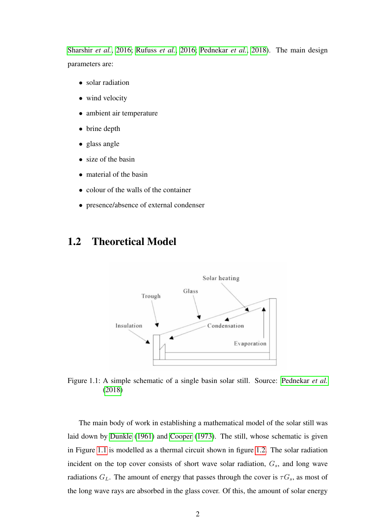[Sharshir](#page-12-6) *et al.*, [2016;](#page-12-6) [Rufuss](#page-12-12) *et al.*, [2016;](#page-12-12) [Pednekar](#page-12-0) *et al.*, [2018\)](#page-12-0). The main design parameters are:

- solar radiation
- wind velocity
- ambient air temperature
- brine depth
- glass angle
- size of the basin
- material of the basin
- colour of the walls of the container
- presence/absence of external condenser

### <span id="page-8-1"></span><span id="page-8-0"></span>1.2 Theoretical Model



Figure 1.1: A simple schematic of a single basin solar still. Source: [Pednekar](#page-12-0) *et al.* [\(2018\)](#page-12-0)

The main body of work in establishing a mathematical model of the solar still was laid down by [Dunkle](#page-12-1) [\(1961\)](#page-12-1) and [Cooper](#page-12-2) [\(1973\)](#page-12-2). The still, whose schematic is given in Figure [1.1](#page-8-1) is modelled as a thermal circuit shown in figure [1.2.](#page-9-0) The solar radiation incident on the top cover consists of short wave solar radiation,  $G_s$ , and long wave radiations  $G_L$ . The amount of energy that passes through the cover is  $\tau G_s$ , as most of the long wave rays are absorbed in the glass cover. Of this, the amount of solar energy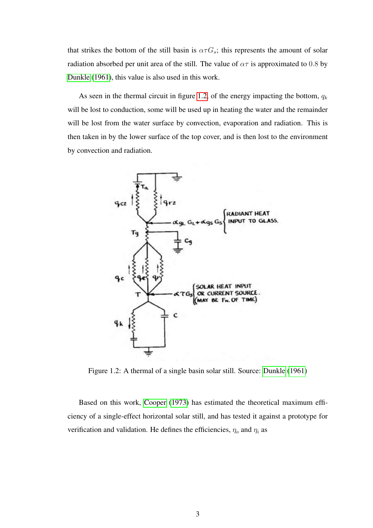that strikes the bottom of the still basin is  $\alpha \tau G_s$ ; this represents the amount of solar radiation absorbed per unit area of the still. The value of  $\alpha\tau$  is approximated to 0.8 by [Dunkle](#page-12-1) [\(1961\)](#page-12-1), this value is also used in this work.

As seen in the thermal circuit in figure [1.2,](#page-9-0) of the energy impacting the bottom,  $q_k$ will be lost to conduction, some will be used up in heating the water and the remainder will be lost from the water surface by convection, evaporation and radiation. This is then taken in by the lower surface of the top cover, and is then lost to the environment by convection and radiation.

<span id="page-9-0"></span>

Figure 1.2: A thermal of a single basin solar still. Source: [Dunkle](#page-12-1) [\(1961\)](#page-12-1)

Based on this work, [Cooper](#page-12-2) [\(1973\)](#page-12-2) has estimated the theoretical maximum efficiency of a single-effect horizontal solar still, and has tested it against a prototype for verification and validation. He defines the efficiencies,  $\eta_o$  and  $\eta_i$  as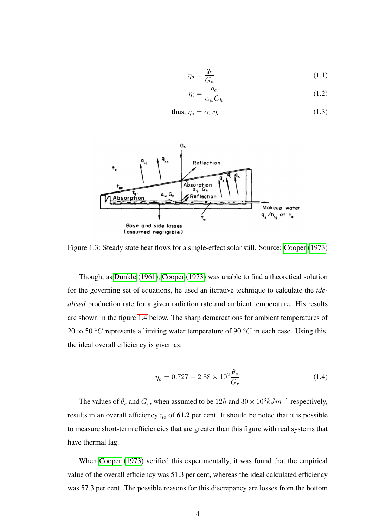$$
\eta_o = \frac{q_e}{G_h} \tag{1.1}
$$

$$
\eta_i = \frac{q_e}{\alpha_w G_h} \tag{1.2}
$$

thus, 
$$
\eta_o = \alpha_w \eta_i
$$
 (1.3)

<span id="page-10-0"></span>

Figure 1.3: Steady state heat flows for a single-effect solar still. Source: [Cooper](#page-12-2) [\(1973\)](#page-12-2)

Though, as [Dunkle](#page-12-1) [\(1961\)](#page-12-1), [Cooper](#page-12-2) [\(1973\)](#page-12-2) was unable to find a theoretical solution for the governing set of equations, he used an iterative technique to calculate the *idealised* production rate for a given radiation rate and ambient temperature. His results are shown in the figure [1.4](#page-11-0) below. The sharp demarcations for ambient temperatures of 20 to 50 °C represents a limiting water temperature of 90 °C in each case. Using this, the ideal overall efficiency is given as:

$$
\eta_o = 0.727 - 2.88 \times 10^2 \frac{\theta_s}{G_r} \tag{1.4}
$$

The values of  $\theta_s$  and  $G_r$ , when assumed to be  $12h$  and  $30 \times 10^3 k J m^{-2}$  respectively, results in an overall efficiency  $\eta_0$  of 61.2 per cent. It should be noted that it is possible to measure short-term efficiencies that are greater than this figure with real systems that have thermal lag.

When [Cooper](#page-12-2) [\(1973\)](#page-12-2) verified this experimentally, it was found that the empirical value of the overall efficiency was 51.3 per cent, whereas the ideal calculated efficiency was 57.3 per cent. The possible reasons for this discrepancy are losses from the bottom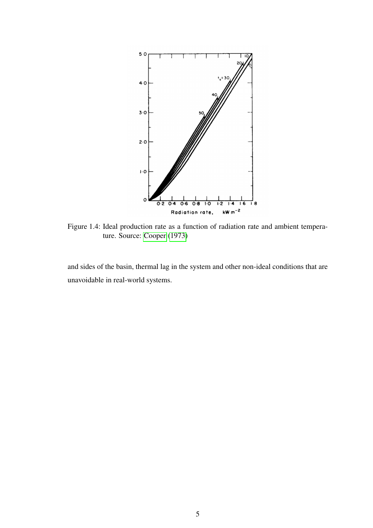<span id="page-11-0"></span>

Figure 1.4: Ideal production rate as a function of radiation rate and ambient temperature. Source: [Cooper](#page-12-2) [\(1973\)](#page-12-2)

and sides of the basin, thermal lag in the system and other non-ideal conditions that are unavoidable in real-world systems.